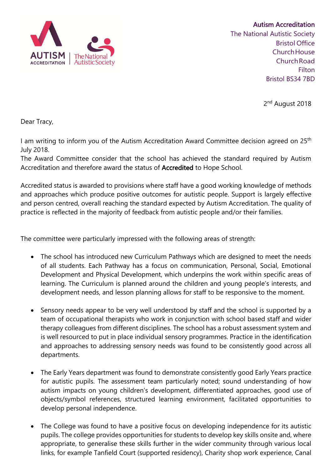

 Church Road Autism Accreditation The National Autistic Society Bristol Office Church House Filton Bristol BS34 7BD

2<sup>nd</sup> August 2018

Dear Tracy,

I am writing to inform you of the Autism Accreditation Award Committee decision agreed on 25<sup>th</sup> July 2018.

The Award Committee consider that the school has achieved the standard required by Autism Accreditation and therefore award the status of Accredited to Hope School.

Accredited status is awarded to provisions where staff have a good working knowledge of methods and approaches which produce positive outcomes for autistic people. Support is largely effective and person centred, overall reaching the standard expected by Autism Accreditation. The quality of practice is reflected in the majority of feedback from autistic people and/or their families.

The committee were particularly impressed with the following areas of strength:

- The school has introduced new Curriculum Pathways which are designed to meet the needs of all students. Each Pathway has a focus on communication, Personal, Social, Emotional Development and Physical Development, which underpins the work within specific areas of learning. The Curriculum is planned around the children and young people's interests, and development needs, and lesson planning allows for staff to be responsive to the moment.
- Sensory needs appear to be very well understood by staff and the school is supported by a team of occupational therapists who work in conjunction with school based staff and wider therapy colleagues from different disciplines. The school has a robust assessment system and is well resourced to put in place individual sensory programmes. Practice in the identification and approaches to addressing sensory needs was found to be consistently good across all departments.
- The Early Years department was found to demonstrate consistently good Early Years practice for autistic pupils. The assessment team particularly noted; sound understanding of how autism impacts on young children's development, differentiated approaches, good use of objects/symbol references, structured learning environment, facilitated opportunities to develop personal independence.
- The College was found to have a positive focus on developing independence for its autistic pupils. The college provides opportunities for students to develop key skills onsite and, where appropriate, to generalise these skills further in the wider community through various local links, for example Tanfield Court (supported residency), Charity shop work experience, Canal